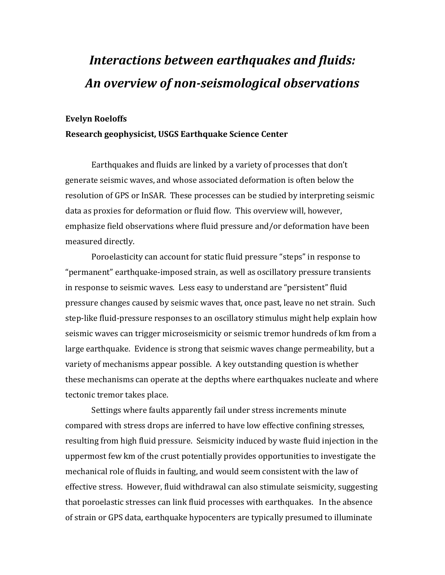## *Interactions between earthquakes and fluids: An overview of non-seismological observations*

## **Evelyn Roeloffs**

## **Research geophysicist, USGS Earthquake Science Center**

Earthquakes and fluids are linked by a variety of processes that don't generate seismic waves, and whose associated deformation is often below the resolution of GPS or InSAR. These processes can be studied by interpreting seismic data as proxies for deformation or fluid flow. This overview will, however, emphasize field observations where fluid pressure and/or deformation have been measured directly.

Poroelasticity can account for static fluid pressure "steps" in response to "permanent" earthquake-imposed strain, as well as oscillatory pressure transients in response to seismic waves. Less easy to understand are "persistent" fluid pressure changes caused by seismic waves that, once past, leave no net strain. Such step-like fluid-pressure responses to an oscillatory stimulus might help explain how seismic waves can trigger microseismicity or seismic tremor hundreds of km from a large earthquake. Evidence is strong that seismic waves change permeability, but a variety of mechanisms appear possible. A key outstanding question is whether these mechanisms can operate at the depths where earthquakes nucleate and where tectonic tremor takes place.

Settings where faults apparently fail under stress increments minute compared with stress drops are inferred to have low effective confining stresses, resulting from high fluid pressure. Seismicity induced by waste fluid injection in the uppermost few km of the crust potentially provides opportunities to investigate the mechanical role of fluids in faulting, and would seem consistent with the law of effective stress. However, fluid withdrawal can also stimulate seismicity, suggesting that poroelastic stresses can link fluid processes with earthquakes. In the absence of strain or GPS data, earthquake hypocenters are typically presumed to illuminate